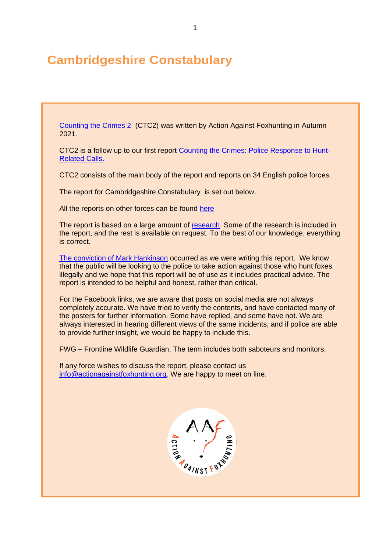# **Cambridgeshire Constabulary**

[Counting the Crimes 2](https://www.actionagainstfoxhunting.org/counting-the-crimes2-the-police-response/) (CTC2) was written by Action Against Foxhunting in Autumn 2021.

CTC2 is a follow up to our first report [Counting the Crimes: Police Response to Hunt-](https://www.actionagainstfoxhunting.org/counting-the-crimes/)[Related Calls.](https://www.actionagainstfoxhunting.org/counting-the-crimes/)

CTC2 consists of the main body of the report and reports on 34 English police forces.

The report for Cambridgeshire Constabulary is set out below.

All the reports on other forces can be found [here](https://www.actionagainstfoxhunting.org/counting-the-crimes2-the-police-response/)

The report is based on a large amount of [research.](https://www.actionagainstfoxhunting.org/wp-content/uploads/2021/11/A-1411-Research-for-CTC2.pdf) Some of the research is included in the report, and the rest is available on request. To the best of our knowledge, everything is correct.

[The conviction of Mark Hankinson](https://www.league.org.uk/news-and-resources/news/hunting-office-webinars-the-road-to-conviction/) occurred as we were writing this report. We know that the public will be looking to the police to take action against those who hunt foxes illegally and we hope that this report will be of use as it includes practical advice. The report is intended to be helpful and honest, rather than critical.

For the Facebook links, we are aware that posts on social media are not always completely accurate. We have tried to verify the contents, and have contacted many of the posters for further information. Some have replied, and some have not. We are always interested in hearing different views of the same incidents, and if police are able to provide further insight, we would be happy to include this.

FWG – Frontline Wildlife Guardian. The term includes both saboteurs and monitors.

If any force wishes to discuss the report, please contact us [info@actionagainstfoxhunting.org.](mailto:info@actionagainstfoxhunting.org) We are happy to meet on line.

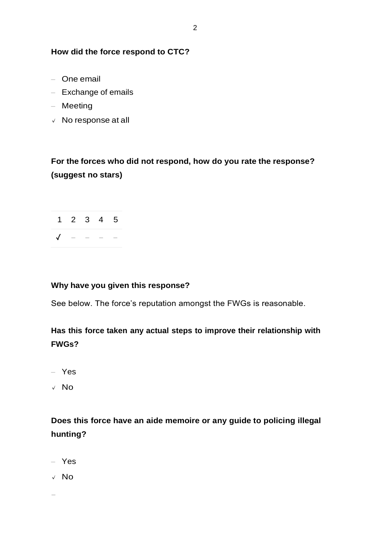#### **How did the force respond to CTC?**

- One email
- Exchange of emails
- Meeting
- **✓** No response at all

# **For the forces who did not respond, how do you rate the response? (suggest no stars)**

2



### **Why have you given this response?**

See below. The force's reputation amongst the FWGs is reasonable.

### **Has this force taken any actual steps to improve their relationship with FWGs?**

- Yes
- **✓** No

## **Does this force have an aide memoire or any guide to policing illegal hunting?**

- Yes
- **✓** No

−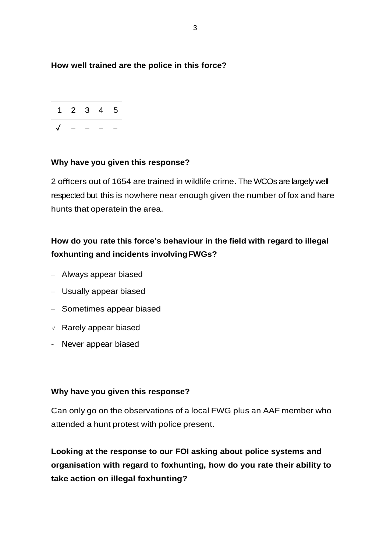### **How well trained are the police in this force?**



### **Why have you given this response?**

2 officers out of 1654 are trained in wildlife crime. The WCOs are largely well respected but this is nowhere near enough given the number of fox and hare hunts that operatein the area.

## **How do you rate this force's behaviour in the field with regard to illegal foxhunting and incidents involvingFWGs?**

- Always appear biased
- Usually appear biased
- Sometimes appear biased
- **✓** Rarely appear biased
- Never appear biased

#### **Why have you given this response?**

Can only go on the observations of a local FWG plus an AAF member who attended a hunt protest with police present.

**Looking at the response to our FOI asking about police systems and organisation with regard to foxhunting, how do you rate their ability to take action on illegal foxhunting?**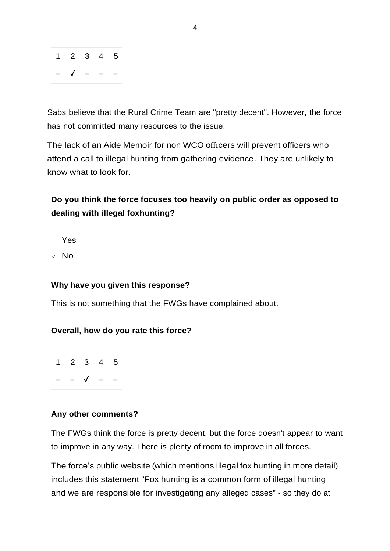

Sabs believe that the Rural Crime Team are "pretty decent". However, the force has not committed many resources to the issue.

The lack of an Aide Memoir for non WCO officers will prevent officers who attend a call to illegal hunting from gathering evidence. They are unlikely to know what to look for.

# **Do you think the force focuses too heavily on public order as opposed to dealing with illegal foxhunting?**

- Yes
- **✓** No

#### **Why have you given this response?**

This is not something that the FWGs have complained about.

#### **Overall, how do you rate this force?**

1 2 3 4 5 − − ✓ − −

#### **Any other comments?**

The FWGs think the force is pretty decent, but the force doesn't appear to want to improve in any way. There is plenty of room to improve in all forces.

The force's public website (which mentions illegal fox hunting in more detail) includes this statement "Fox hunting is a common form of illegal hunting and we are responsible for investigating any alleged cases" - so they do at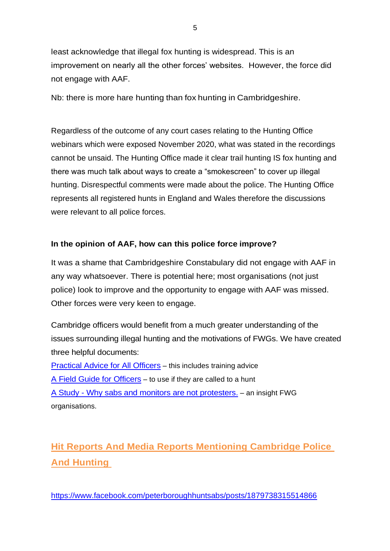least acknowledge that illegal fox hunting is widespread. This is an improvement on nearly all the other forces' websites. However, the force did not engage with AAF.

Nb: there is more hare hunting than fox hunting in Cambridgeshire.

Regardless of the outcome of any court cases relating to the Hunting Office webinars which were exposed November 2020, what was stated in the recordings cannot be unsaid. The Hunting Office made it clear trail hunting IS fox hunting and there was much talk about ways to create a "smokescreen" to cover up illegal hunting. Disrespectful comments were made about the police. The Hunting Office represents all registered hunts in England and Wales therefore the discussions were relevant to all police forces.

### **In the opinion of AAF, how can this police force improve?**

It was a shame that Cambridgeshire Constabulary did not engage with AAF in any way whatsoever. There is potential here; most organisations (not just police) look to improve and the opportunity to engage with AAF was missed. Other forces were very keen to engage.

Cambridge officers would benefit from a much greater understanding of the issues surrounding illegal hunting and the motivations of FWGs. We have created three helpful documents:

[Practical Advice for All Officers](https://www.actionagainstfoxhunting.org/wp-content/uploads/2021/11/B-1411-Practical-Advice-for-all-Police-Forces.pdf) – this includes training advice [A Field Guide for Officers](https://www.actionagainstfoxhunting.org/wp-content/uploads/2021/11/A-1411-FIELD-GUIDE-ILLEGAL-FOXHUNTING.pdf) – to use if they are called to a hunt A Study - [Why sabs and monitors are not protesters.](https://www.actionagainstfoxhunting.org/wp-content/uploads/2021/11/A-1411-Why-sabs-and-monitors-arent-protesters.pdf) – an insight FWG organisations.

# **Hit Reports And Media Reports Mentioning Cambridge Police And Hunting**

<https://www.facebook.com/peterboroughhuntsabs/posts/1879738315514866>